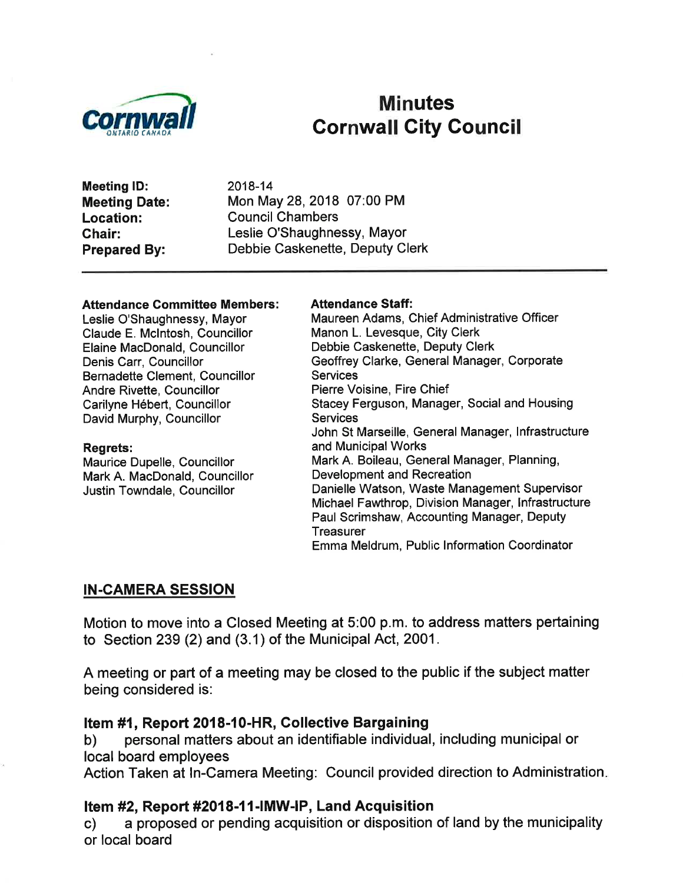

# Minutes<br>Cornwall City Council

Meeting lD: Meeting Date: Location: Ghair: Prepared By:

2018-14 Mon May 28,2018 07:00 PM Council Chambers Leslie O'Shaughnessy, Mayor Debbie Caskenette, Deputy Clerk

#### **Attendance Committee Members:**

Leslie O'Shaughnessy, Mayor Claude E. Mclntosh, Councillor Elaine MacDonald, Councillor Denis Carr, Councillor Bernadette Clement, Councillor Andre Rivette, Councillor Carilyne Hébert, Councillor David Murphy, Councillor

#### Regrets:

Maurice Dupelle, Councillor Mark A. MacDonald, Councillor Justin Towndale, Councillor

# Attendance Staff:

Maureen Adams, Chief Administrative Officer Manon L. Levesque, City Clerk Debbie Caskenette, Deputy Clerk Geoffrey Clarke, General Manager, Corporate **Services** Pierre Voisine, Fire Chief Stacey Ferguson, Manager, Social and Housing **Services** John St Marseille, General Manager, lnfrastructure and Municipal Works Mark A. Boileau, General Manager, Planning, Development and Recreation Danielle Watson, Waste Management Supervisor Michael Fawthrop, Division Manager, lnfrastructure Paul Scrimshaw, Accounting Manager, Deputy **Treasurer** Emma Meldrum, Public lnformation Coordinator

#### IN.CAMERA SESSION

Motion to move into a Closed Meeting at 5:00 p.m. to address matters pertaining to Section 239 (2) and (3.1) of the Municipal Act, 2001.

A meeting or part of a meeting may be closed to the public if the subject matter being considered is:

#### Item #1, Report 2018-10-HR, Collective Bargaining

b) personal matters about an identifiable individual, including municipal or local board employees

Action Taken at ln-Camera Meeting: Council provided direction to Administration

#### Item #2, Report #2018-11-lMW-lP, Land Acquisition

c) a proposed or pending acquisition or disposition of land by the municipality or local board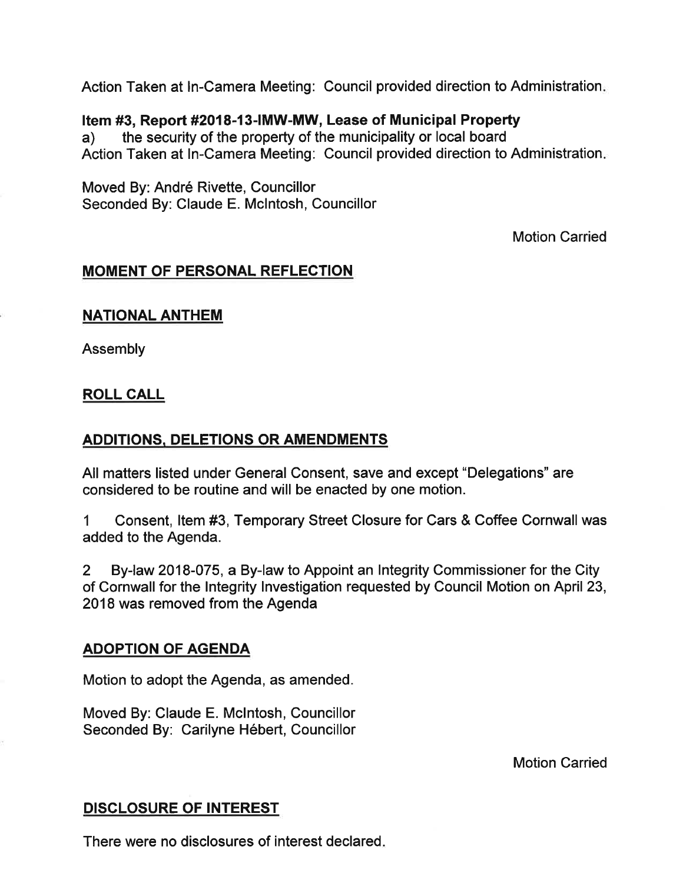Action Taken at ln-Camera Meeting: Council provided direction to Administration

#### Item #3, Report #2018-13-|MW-MW, Lease of Municipal Property

a) the security of the property of the municipality or local board Action Taken at In-Camera Meeting: Council provided direction to Administration

Moved By: André Rivette, Councillor Seconded By: Claude E. Mclntosh, Councillor

Motion Carried

#### MOMENT OF PERSONAL REFLECTION

#### **NATIONAL ANTHEM**

Assembly

#### ROLL CALL

#### ADDITIONS, DELETIONS OR AMENDMENTS

All matters listed under General Consent, save and except "Delegations" are considered to be routine and will be enacted by one motion.

1 Consent, ltem #3, Temporary Street Closure for Cars & Coffee Cornwall was added to the Agenda.

2 By-law 2018-075, a By-law to Appoint an Integrity Commissioner for the Gity of Cornwall for the lntegrity lnvestigation requested by Council Motion on April 23, 2018 was removed from the Agenda

#### ADOPTION OF AGENDA

Motion to adopt the Agenda, as amended.

Moved By: Claude E. Mclntosh, Councillor Seconded By: Carilyne Hébert, Councillor

Motion Carried

#### DISCLOSURE OF INTEREST

There were no disclosures of interest declared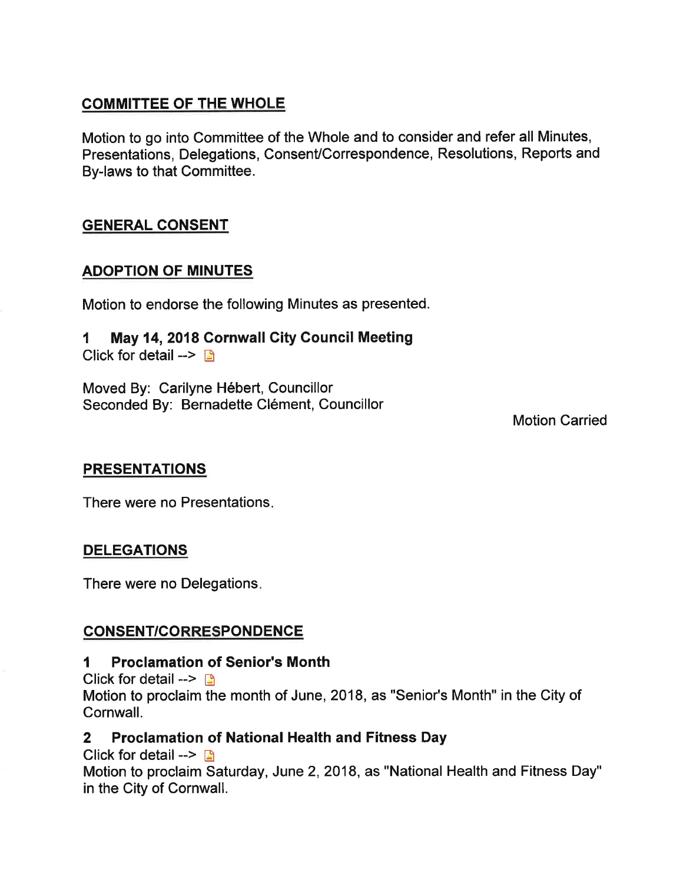# COMMITTEE OF THE WHOLE

Motion to go into Committee of the Whole and to consider and refer all Minutes, Presentations, Delegations, Consent/Correspondence, Resolutions, Reports and By-laws to that Committee.

# GENERAL CONSENT

# ADOPTION OF MINUTES

Motion to endorse the following Minutes as presented.

# 1 May 14,2018 Cornwall City Council Meeting

Click for detail  $\rightarrow$ 

Moved By: Carilyne Hébert, Councillor Seconded By: Bernadette Clément, Councillor

Motion Carried

#### **PRESENTATIONS**

There were no Presentations

# **DELEGATIONS**

There were no Delegations

# CONSENT/CORRESPONDENCE

#### I Proclamation of Senior's Month

Click for detail  $\leftarrow$   $\blacksquare$ Motion to proclaim the month of June, 2018, as "Senior's Month" in the City of Gornwall.

# 2 Proclamation of National Health and Fitness Day

Click for detail -->  $\mathbb{R}$ 

Motion to proclaim Saturday, June 2,2018, as "National Health and Fitness Day" in the City of Cornwall.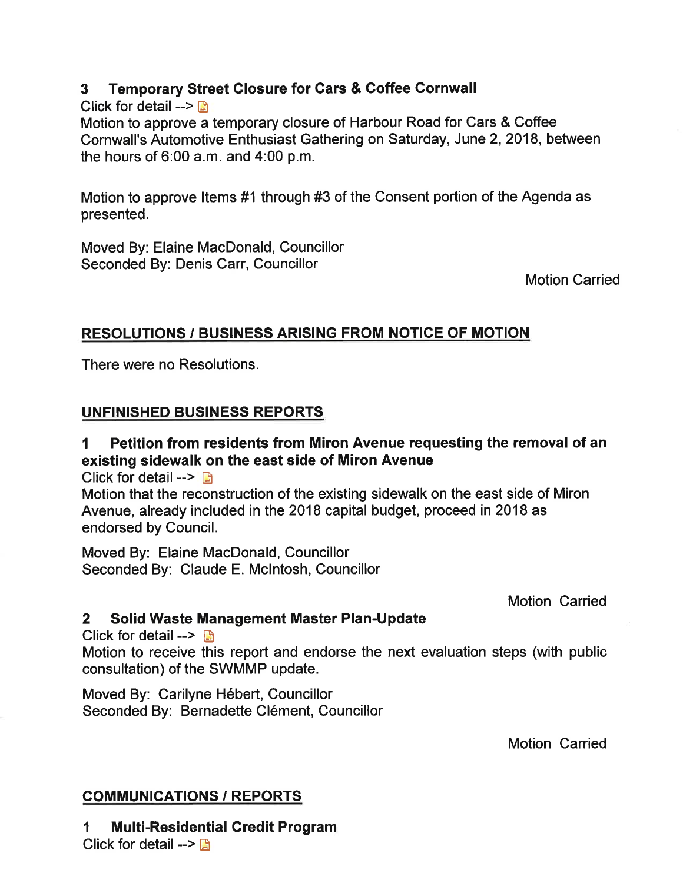# 3 Temporary Street Closure for Cars & Goffee Cornwall

Click for detail  $>$   $\blacksquare$ 

Motion to approve a temporary closure of Harbour Road for Cars & Coffee Cornwall's Automotive Enthusiast Gathering on Saturday, June 2,2018, between the hours of 6:00 a.m. and 4:00 p.m.

Motion to approve ltems #1 through #3 of the Consent portion of the Agenda as presented.

Moved By: Elaine MacDonald, Councillor Seconded By: Denis Carr, Councillor

Motion Carried

#### RESOLUTIONS / BUSINESS ARISING FROM NOTICE OF MOTION

There were no Resolutions.

# UNFINISHED BUSINESS REPORTS

# I Petition from residents from Miron Avenue requesting the removal of an existing sidewalk on the east side of Miron Avenue

Click for detail  $\rightarrow$ 

Motion that the reconstruction of the existing sidewalk on the east side of Miron Avenue, already included in the 2018 capital budget, proceed in 2018 as endorsed by Council.

Moved By: Elaine MacDonald, Councillor Seconded By: Claude E. Mclntosh, Councillor

Motion Carried

#### 2 Solid Waste Management Master Plan-Update

Click for detail  $\rightarrow$  B

Motion to receive this report and endorse the next evaluation steps (with public consultation) of the SWMMP update.

Moved By: Carilyne Hébert, Councillor Seconded By: Bernadette Clément, Councillor

Motion Carried

# COMMUNICATIONS / REPORTS

1 Multi-Residential Credit Program Click for detail  $\rightarrow$   $\mathbb{R}$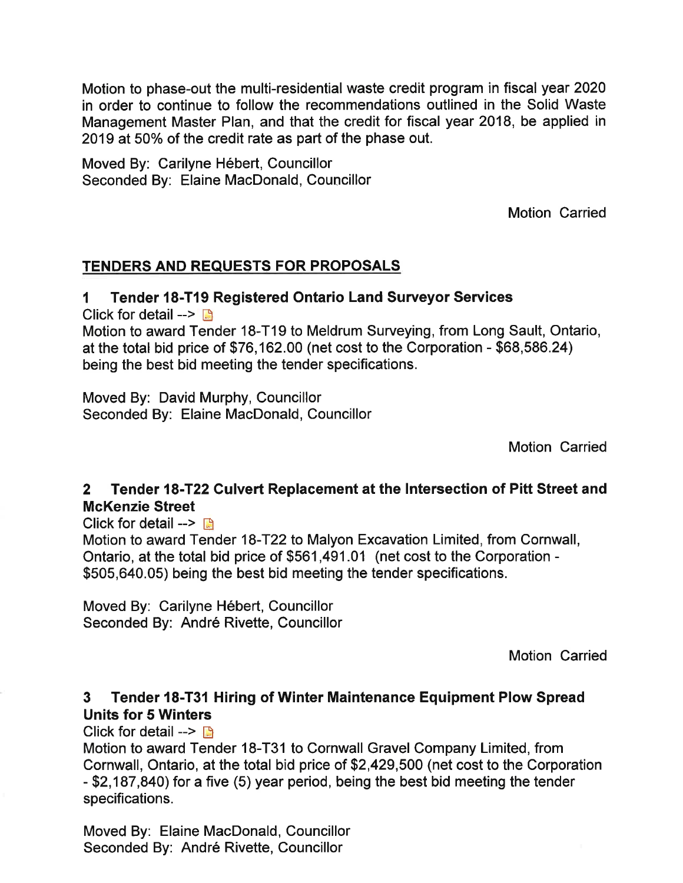Motion to phase-out the multi-residential waste credit program in fiscal year 2020 in order to continue to follow the recommendations outlined in the Solid Waste Management Master Plan, and that the credit for fiscal year 2018, be applied in 2019 at 50% of the credit rate as part of the phase out.

Moved By: Carilyne Hébert, Councillor Seconded By: Elaine MacDonald, Councillor

Motion Carried

#### TENDERS AND REQUESTS FOR PROPOSALS

#### I Tender l8-T19 Registered Ontario Land Surveyor Services

Click for detail  $\rightarrow$ 

Motion to award Tender 18-T19 to Meldrum Surveying, from Long Sault, Ontario, at the total bid price of \$76,162.00 (net cost to the Corporation - \$68,586.24) being the best bid meeting the tender specifications.

Moved By: David Murphy, Councillor Seconded By: Elaine MacDonald, Councillor

Motion Carried

#### 2 Tender 18-T22 Culvert Replacement at the Intersection of Pitt Street and McKenzie Street

Click for detail  $\rightarrow$   $\rightarrow$ 

Motion to award Tender 18-T22 to Malyon Excavation Limited, from Cornwall, Ontario, at the total bid price of \$561 ,491.01 (net cost to the Corporation - \$505,640.05) being the best bid meeting the tender specifications.

Moved By: Carilyne Hébert, Councillor Seconded By: André Rivette, Gouncillor

Motion Carried

# 3 Tender 18-T31 Hiring of Winter Maintenance Equipment Plow Spread Units for 5 Winters

Click for detail  $\rightarrow$  B

Motion to award Tender 18-T31 to Cornwall Gravel Company Limited, from Cornwall, Ontario, at the total bid price of \$2,429,500 (net cost to the Corporation - \$2,187,840) for a five (5) year period, being the best bid meeting the tender specifications.

Moved By: Elaine MacDonald, Councillor Seconded By: André Rivette, Councillor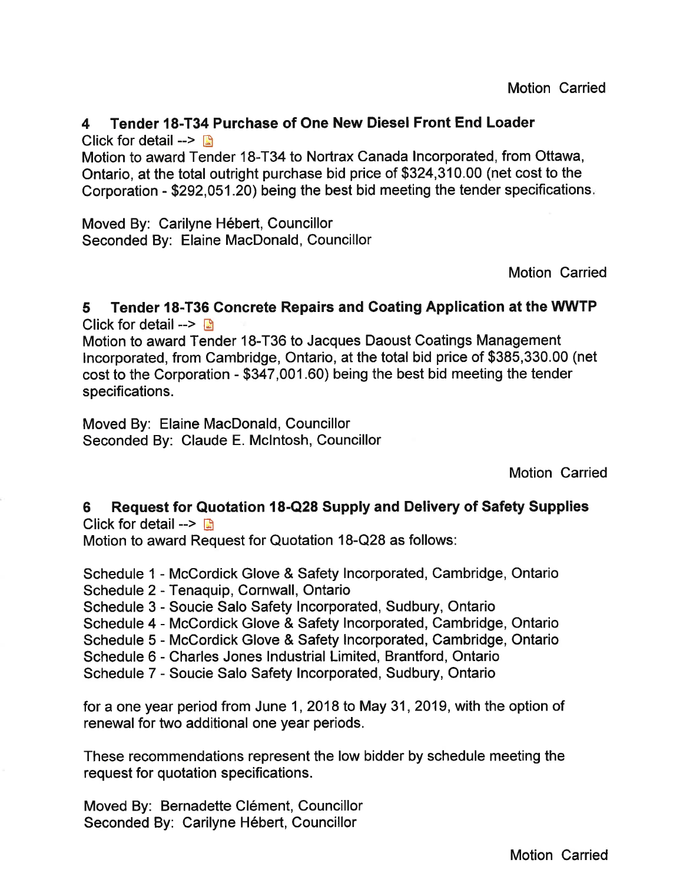# 4 Tender l8-T34 Purchase of One New Diesel Front End Loader

Click for detail  $\rightarrow$   $\rightarrow$ 

Motion to award Tender 18-T34 to Nortrax Canada lncorporated, from Ottawa, Ontario, at the total outright purchase bid price of \$324,310,00 (net cost to the Corporation - \$292,051.20) being the best bid meeting the tender specifications

Moved By: Carilyne Hébert, Councillor Seconded By: Elaine MacDonald, Councillor

Motion Carried

# 5 Tender l8-T36 Goncrete Repairs and Goating Application at the WWTP

Click for detail  $\rightarrow$ 

Motion to award Tender 18-T36 to Jacques Daoust Coatings Management lncorporated, from Cambridge, Ontario, at the total bid price of \$385,330.00 (net cost to the Corporation - \$347,001.60) being the best bid meeting the tender specifications.

Moved By: Elaine MacDonald, Councillor Seconded By: Claude E. Mclntosh, Councillor

Motion Carried

6 Request for Quotation 18-Q28 Supply and Delivery of Safety Supplies Click for detail  $\rightarrow$   $\blacksquare$ 

Motion to award Request for Quotation 18-Q28 as follows:

Schedule 1 - McCordick Glove & Safety Incorporated, Cambridge, Ontario

Schedule 2 - Tenaquip, Cornwall, Ontario

Schedule 3 - Soucie Salo Safety Incorporated, Sudbury, Ontario

Schedule 4 - McCordick Glove & Safety lncorporated, Cambridge, Ontario

Schedule 5 - McCordick Glove & Safety lncorporated, Cambridge, Ontario

Schedule 6 - Charles Jones Industrial Limited, Brantford, Ontario

Schedule 7 - Soucie Salo Safety lncorporated, Sudbury, Ontario

for a one year period from June 1,2018 to May 31,2019, with the option of renewal for two additional one year periods.

These recommendations represent the low bidder by schedule meeting the request for quotation specifications.

Moved By: Bernadette Clément, Councillor Seconded By: Carilyne Hébert, Councillor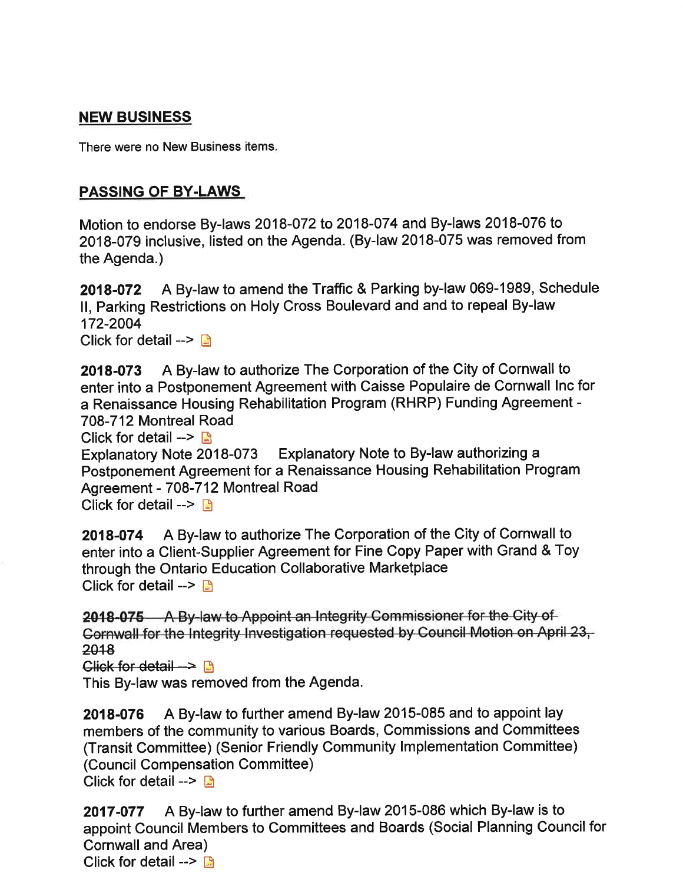# NEW BUSINESS

There were no New Business items

#### PASSING OF BY.LAWS

Motion to endorse By-laws 2018-072 to 2018-074 and By-laws 2018-076 to 2018-079 inclusive, listed on the Agenda. (By-law 2018-075 was removed from the Agenda.)

2018-072 A By-law to amend the Traffic & Parking by-law 069-1989, Schedule ll, Parking Restrictions on Holy Cross Boulevard and and to repeal By-law 172-2004 Click for detail  $\rightarrow$ 

2018-073 A By-law to authorize The Corporation of the City of Cornwall to enter into a Postponement Agreement with Caisse Populaire de Cornwall Inc for a Renaissance Housing Rehabilitation Program (RHRP) Funding Agreement - 708-712 Montreal Road

Click for detail  $\rightarrow$  **A** 

Explanatory Note 2018-073 Explanatory Note to By-law authorizing a Postponement Agreement for a Renaissance Housing Rehabilitation Program Agreement - 708-712 Montreal Road

Click for detail  $\rightarrow$ 

2018-074 A By-law to authorize The Corporation of the City of Cornwall to enter into a Client-Supplier Agreement for Fine Copy Paper with Grand & Toy through the Ontario Education Collaborative Marketplace Click for detail  $\rightarrow$ 

2018-075 A By-law to Appoint an Integrity Commissioner for the City of Gornwall for the Integrity Investigation requested by Council Motion on April 23, 2018

Glick for detail  $\rightarrow$ 

This By-law was removed from the Agenda.

2018-076 A By-law to further amend By-law 2015-085 and to appoint lay members of the community to various Boards, Commissions and Committees (Transit Committee) (Senior Friendly Community lmplementation Committee) (Council Compensation Committee) Click for detail -->  $\blacksquare$ 

2017-077 A By-law to further amend By-law 2015-086 which By-law is to appoint Council Members to Committees and Boards (Social Planning Council for Cornwall and Area) Click for detail -->  $\mathbb{B}$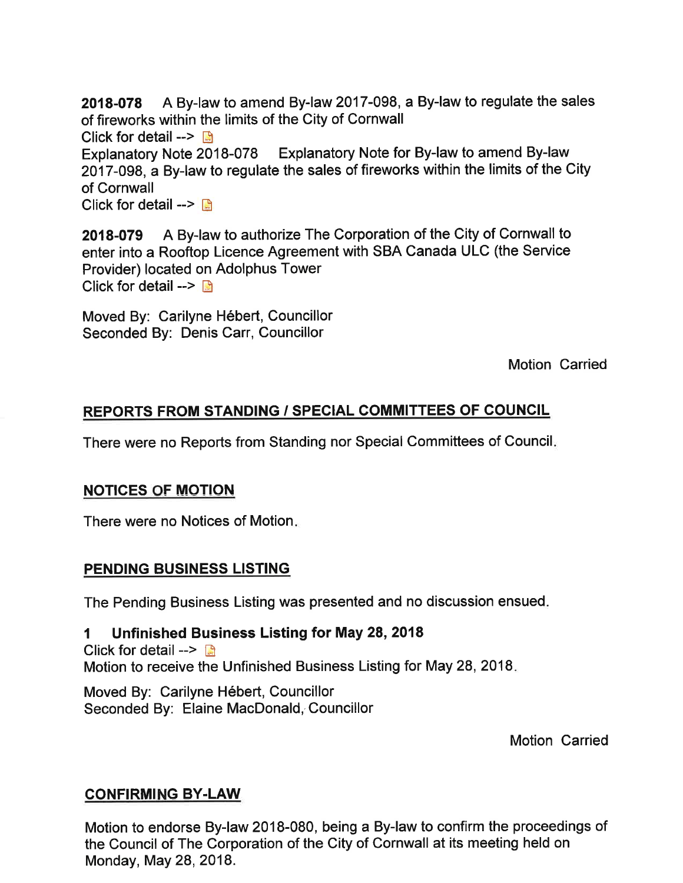2018-078 A By-law to amend By-law 2017-098, a By-law to regulate the sales of fireworks within the limits of the City of Cornwall Click for detail  $\rightarrow$ Explanatory Note 2018-078 Explanatory Note for By-law to amend By-law 2017-098, a By-law to regulate the sales of fireworks within the limits of the City of Cornwall

Click for detail  $\rightarrow$ 

2018-079 A By-law to authorize The Corporation of the City of Cornwall to enter into a Rooftop Licence Agreement with SBA Canada ULC (the Service Provider) located on Adolphus Tower Click for detail  $\rightarrow$  B

Moved By: Carilyne Hébert, Councillor Seconded By: Denis Carr, Councillor

Motion Carried

#### REPORTS FROM STANDING / SPECIAL COMMITTEES OF COUNCIL

There were no Reports from Standing nor Special Committees of Council

#### **NOTICES OF MOTION**

There were no Notices of Motion

#### PENDING BUSINESS LISTING

The Pending Business Listing was presented and no discussion ensued

#### I Unfinished Business Listing for May 28,2018

Click for detail  $\rightarrow$ Motion to receive the Unfinished Business Listing for May 28, 2018.

Moved By: Carilyne Hébert, Councillor Seconded By: Elaine MacDonald, Councillor

Motion Carried

#### **CONFIRMING BY-LAW**

Motion to endorse By-law 2018-080, being a By-law to confirm the proceedings of the Council of The Corporation of the City of Cornwall at its meeting held on Monday, May 28, 2018.